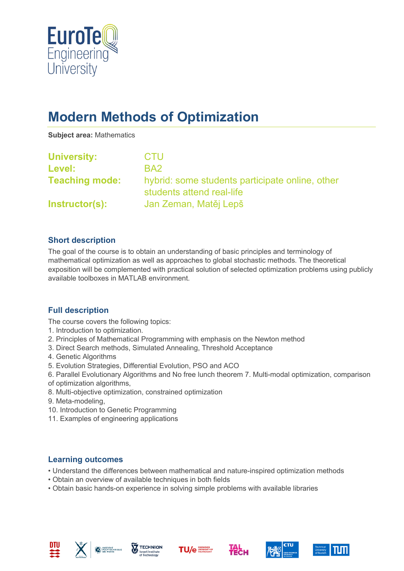

# **Modern Methods of Optimization**

**Subject area:** Mathematics

| <b>University:</b>    | CTU                                                                          |
|-----------------------|------------------------------------------------------------------------------|
| Level:                | BA <sub>2</sub>                                                              |
| <b>Teaching mode:</b> | hybrid: some students participate online, other<br>students attend real-life |
| Instructor(s):        | Jan Zeman, Matěj Lepš                                                        |

#### **Short description**

The goal of the course is to obtain an understanding of basic principles and terminology of mathematical optimization as well as approaches to global stochastic methods. The theoretical exposition will be complemented with practical solution of selected optimization problems using publicly available toolboxes in MATLAB environment.

### **Full description**

The course covers the following topics:

- 1. Introduction to optimization.
- 2. Principles of Mathematical Programming with emphasis on the Newton method
- 3. Direct Search methods, Simulated Annealing, Threshold Acceptance
- 4. Genetic Algorithms
- 5. Evolution Strategies, Differential Evolution, PSO and ACO
- 6. Parallel Evolutionary Algorithms and No free lunch theorem 7. Multi-modal optimization, comparison of optimization algorithms,
- 8. Multi-objective optimization, constrained optimization
- 9. Meta-modeling,
- 10. Introduction to Genetic Programming
- 11. Examples of engineering applications

#### **Learning outcomes**

- Understand the differences between mathematical and nature-inspired optimization methods
- Obtain an overview of available techniques in both fields
- Obtain basic hands-on experience in solving simple problems with available libraries











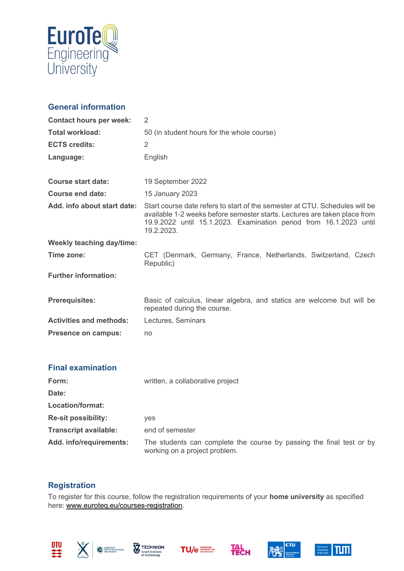

## **General information**

| <b>Contact hours per week:</b>   | 2                                                                                                                                                                                                                                            |
|----------------------------------|----------------------------------------------------------------------------------------------------------------------------------------------------------------------------------------------------------------------------------------------|
| <b>Total workload:</b>           | 50 (in student hours for the whole course)                                                                                                                                                                                                   |
| <b>ECTS credits:</b>             | 2                                                                                                                                                                                                                                            |
| Language:                        | English                                                                                                                                                                                                                                      |
|                                  |                                                                                                                                                                                                                                              |
| Course start date:               | 19 September 2022                                                                                                                                                                                                                            |
| Course end date:                 | 15 January 2023                                                                                                                                                                                                                              |
| Add. info about start date:      | Start course date refers to start of the semester at CTU. Schedules will be<br>available 1-2 weeks before semester starts. Lectures are taken place from<br>19.9.2022 until 15.1.2023. Examination period from 16.1.2023 until<br>19.2.2023. |
| <b>Weekly teaching day/time:</b> |                                                                                                                                                                                                                                              |
| Time zone:                       | CET (Denmark, Germany, France, Netherlands, Switzerland, Czech<br>Republic)                                                                                                                                                                  |
| <b>Further information:</b>      |                                                                                                                                                                                                                                              |
| <b>Prerequisites:</b>            | Basic of calculus, linear algebra, and statics are welcome but will be<br>repeated during the course.                                                                                                                                        |
| <b>Activities and methods:</b>   | Lectures, Seminars                                                                                                                                                                                                                           |
| <b>Presence on campus:</b>       | no                                                                                                                                                                                                                                           |
|                                  |                                                                                                                                                                                                                                              |

| <b>Final examination</b>     |                                                                                                       |
|------------------------------|-------------------------------------------------------------------------------------------------------|
| Form:                        | written, a collaborative project                                                                      |
| Date:                        |                                                                                                       |
| Location/format:             |                                                                                                       |
| <b>Re-sit possibility:</b>   | <b>ves</b>                                                                                            |
| <b>Transcript available:</b> | end of semester                                                                                       |
| Add. info/requirements:      | The students can complete the course by passing the final test or by<br>working on a project problem. |

#### **Registration**

To register for this course, follow the registration requirements of your **home university** as specified here: [www.euroteq.eu/courses-registration.](http://www.euroteq.eu/courses-registration)